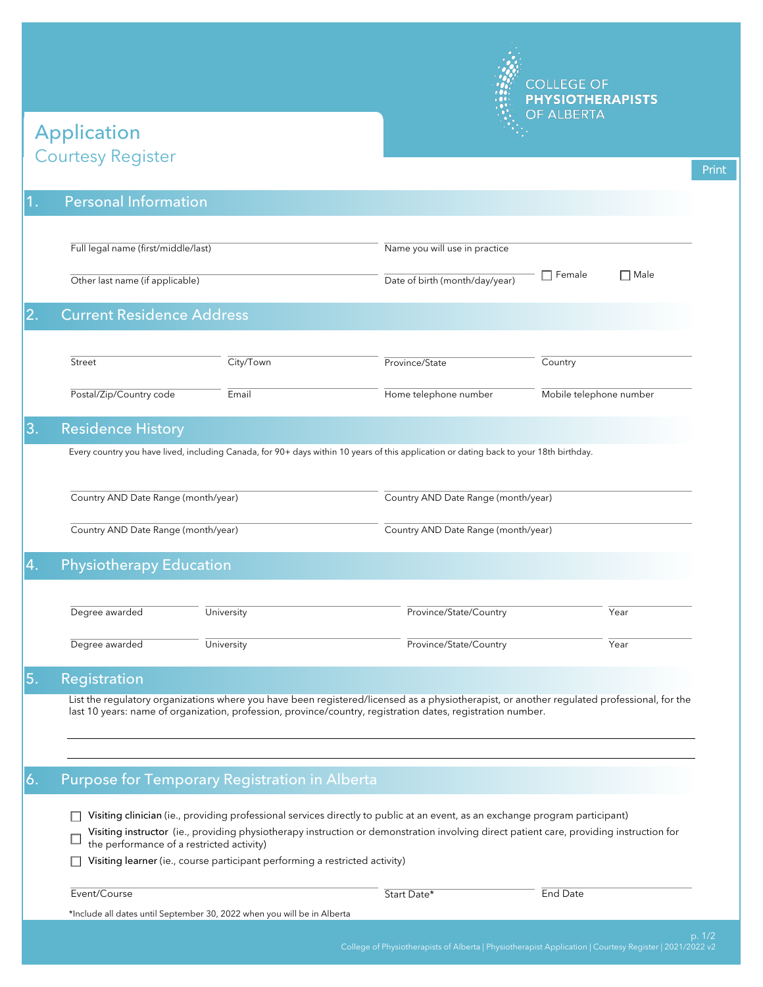

## Courtesy Register Application

| 1.             |                                                                                                                                        |            |                                                                                                                                                                                                                                                                         |                                     |             |  |  |
|----------------|----------------------------------------------------------------------------------------------------------------------------------------|------------|-------------------------------------------------------------------------------------------------------------------------------------------------------------------------------------------------------------------------------------------------------------------------|-------------------------------------|-------------|--|--|
|                | <b>Personal Information</b>                                                                                                            |            |                                                                                                                                                                                                                                                                         |                                     |             |  |  |
|                | Full legal name (first/middle/last)                                                                                                    |            | Name you will use in practice                                                                                                                                                                                                                                           |                                     |             |  |  |
|                | Other last name (if applicable)                                                                                                        |            | Date of birth (month/day/year)                                                                                                                                                                                                                                          | $\Box$ Female                       | $\Box$ Male |  |  |
| 2.             | <b>Current Residence Address</b>                                                                                                       |            |                                                                                                                                                                                                                                                                         |                                     |             |  |  |
|                | Street                                                                                                                                 | City/Town  | Province/State                                                                                                                                                                                                                                                          | Country                             |             |  |  |
|                | Postal/Zip/Country code                                                                                                                | Email      | Home telephone number                                                                                                                                                                                                                                                   | Mobile telephone number             |             |  |  |
| 3.             | <b>Residence History</b>                                                                                                               |            |                                                                                                                                                                                                                                                                         |                                     |             |  |  |
|                | Every country you have lived, including Canada, for 90+ days within 10 years of this application or dating back to your 18th birthday. |            |                                                                                                                                                                                                                                                                         |                                     |             |  |  |
|                | Country AND Date Range (month/year)                                                                                                    |            |                                                                                                                                                                                                                                                                         | Country AND Date Range (month/year) |             |  |  |
|                |                                                                                                                                        |            |                                                                                                                                                                                                                                                                         |                                     |             |  |  |
|                | Country AND Date Range (month/year)                                                                                                    |            | Country AND Date Range (month/year)                                                                                                                                                                                                                                     |                                     |             |  |  |
|                | <b>Physiotherapy Education</b>                                                                                                         |            |                                                                                                                                                                                                                                                                         |                                     |             |  |  |
|                |                                                                                                                                        |            |                                                                                                                                                                                                                                                                         |                                     |             |  |  |
|                | Degree awarded                                                                                                                         | University | Province/State/Country                                                                                                                                                                                                                                                  |                                     | Year        |  |  |
|                | Degree awarded                                                                                                                         | University | Province/State/Country                                                                                                                                                                                                                                                  |                                     | Year        |  |  |
|                | Registration                                                                                                                           |            |                                                                                                                                                                                                                                                                         |                                     |             |  |  |
|                |                                                                                                                                        |            | List the regulatory organizations where you have been registered/licensed as a physiotherapist, or another regulated professional, for the<br>last 10 years: name of organization, profession, province/country, registration dates, registration number.               |                                     |             |  |  |
|                |                                                                                                                                        |            |                                                                                                                                                                                                                                                                         |                                     |             |  |  |
|                |                                                                                                                                        |            |                                                                                                                                                                                                                                                                         |                                     |             |  |  |
|                | Purpose for Temporary Registration in Alberta                                                                                          |            |                                                                                                                                                                                                                                                                         |                                     |             |  |  |
|                | the performance of a restricted activity)                                                                                              |            | Visiting clinician (ie., providing professional services directly to public at an event, as an exchange program participant)<br>Visiting instructor (ie., providing physiotherapy instruction or demonstration involving direct patient care, providing instruction for |                                     |             |  |  |
| 4.<br>5.<br>6. | Visiting learner (ie., course participant performing a restricted activity)                                                            |            |                                                                                                                                                                                                                                                                         |                                     |             |  |  |
|                | Event/Course                                                                                                                           |            | Start Date*                                                                                                                                                                                                                                                             | End Date                            |             |  |  |